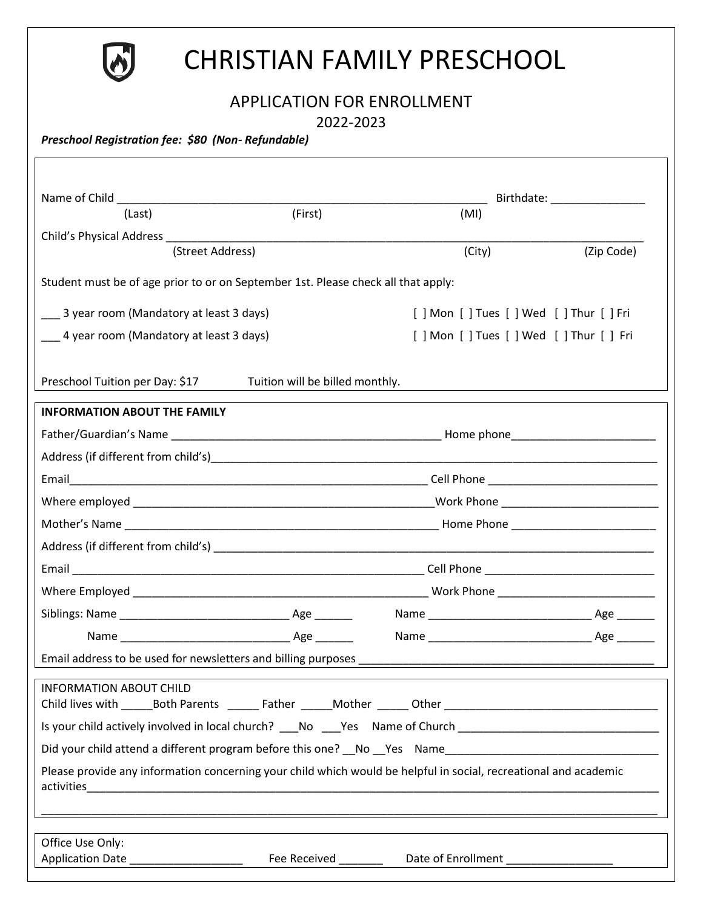

# CHRISTIAN FAMILY PRESCHOOL

## APPLICATION FOR ENROLLMENT

2022-2023

*Preschool Registration fee: \$80 (Non- Refundable)*

| Name of Child <b>Name of Child</b>                                                                               |         |        |                                           |  |  |
|------------------------------------------------------------------------------------------------------------------|---------|--------|-------------------------------------------|--|--|
| (Last)                                                                                                           | (First) | (MI)   |                                           |  |  |
|                                                                                                                  |         |        |                                           |  |  |
| (Street Address)                                                                                                 |         | (City) | (Zip Code)                                |  |  |
| Student must be of age prior to or on September 1st. Please check all that apply:                                |         |        |                                           |  |  |
| 3 year room (Mandatory at least 3 days)                                                                          |         |        | [] Mon [] Tues [] Wed [] Thur [] Fri      |  |  |
| 4 year room (Mandatory at least 3 days)                                                                          |         |        | [ ] Mon [ ] Tues [ ] Wed [ ] Thur [ ] Fri |  |  |
|                                                                                                                  |         |        |                                           |  |  |
| Preschool Tuition per Day: \$17<br>Tuition will be billed monthly.                                               |         |        |                                           |  |  |
| <b>INFORMATION ABOUT THE FAMILY</b>                                                                              |         |        |                                           |  |  |
|                                                                                                                  |         |        |                                           |  |  |
|                                                                                                                  |         |        |                                           |  |  |
|                                                                                                                  |         |        |                                           |  |  |
|                                                                                                                  |         |        |                                           |  |  |
|                                                                                                                  |         |        |                                           |  |  |
|                                                                                                                  |         |        |                                           |  |  |
|                                                                                                                  |         |        |                                           |  |  |
|                                                                                                                  |         |        |                                           |  |  |
|                                                                                                                  |         |        |                                           |  |  |
|                                                                                                                  |         |        |                                           |  |  |
| Email address to be used for newsletters and billing purposes                                                    |         |        |                                           |  |  |
| <b>INFORMATION ABOUT CHILD</b>                                                                                   |         |        |                                           |  |  |
| Is your child actively involved in local church? No Yes Name of Church                                           |         |        |                                           |  |  |
| Did your child attend a different program before this one? No Yes Name                                           |         |        |                                           |  |  |
| Please provide any information concerning your child which would be helpful in social, recreational and academic |         |        |                                           |  |  |
|                                                                                                                  |         |        |                                           |  |  |
| Office Use Only:                                                                                                 |         |        |                                           |  |  |
|                                                                                                                  |         |        |                                           |  |  |